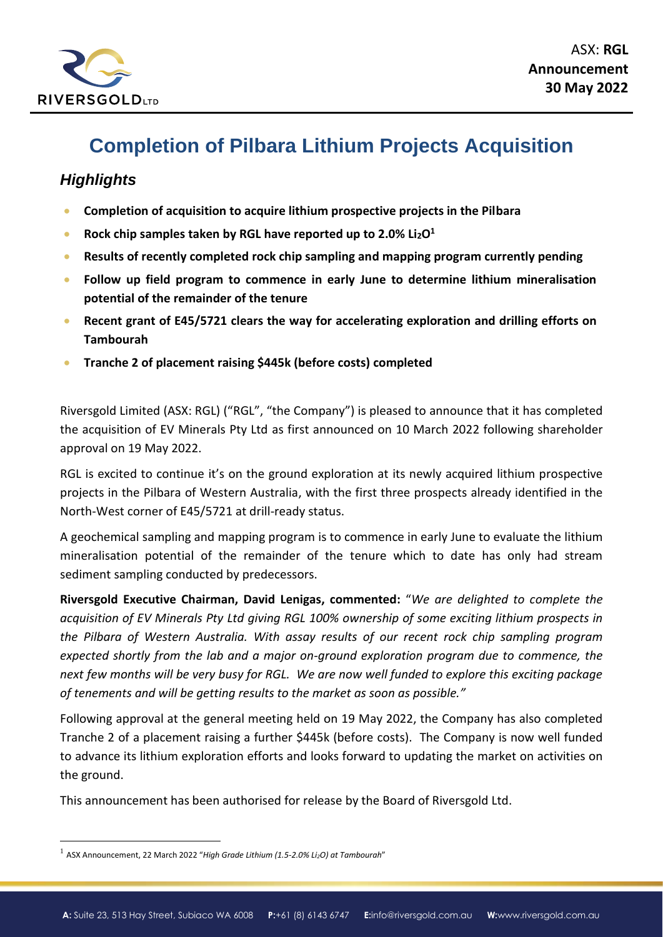

# **Completion of Pilbara Lithium Projects Acquisition**

## *Highlights*

- **Completion of acquisition to acquire lithium prospective projects in the Pilbara**
- **Rock chip samples taken by RGL have reported up to 2.0% Li2O<sup>1</sup>**
- **Results of recently completed rock chip sampling and mapping program currently pending**
- **Follow up field program to commence in early June to determine lithium mineralisation potential of the remainder of the tenure**
- **Recent grant of E45/5721 clears the way for accelerating exploration and drilling efforts on Tambourah**
- **Tranche 2 of placement raising \$445k (before costs) completed**

Riversgold Limited (ASX: RGL) ("RGL", "the Company") is pleased to announce that it has completed the acquisition of EV Minerals Pty Ltd as first announced on 10 March 2022 following shareholder approval on 19 May 2022.

RGL is excited to continue it's on the ground exploration at its newly acquired lithium prospective projects in the Pilbara of Western Australia, with the first three prospects already identified in the North-West corner of E45/5721 at drill-ready status.

A geochemical sampling and mapping program is to commence in early June to evaluate the lithium mineralisation potential of the remainder of the tenure which to date has only had stream sediment sampling conducted by predecessors.

**Riversgold Executive Chairman, David Lenigas, commented:** "*We are delighted to complete the acquisition of EV Minerals Pty Ltd giving RGL 100% ownership of some exciting lithium prospects in the Pilbara of Western Australia. With assay results of our recent rock chip sampling program expected shortly from the lab and a major on-ground exploration program due to commence, the next few months will be very busy for RGL. We are now well funded to explore this exciting package of tenements and will be getting results to the market as soon as possible."*

Following approval at the general meeting held on 19 May 2022, the Company has also completed Tranche 2 of a placement raising a further \$445k (before costs). The Company is now well funded to advance its lithium exploration efforts and looks forward to updating the market on activities on the ground.

This announcement has been authorised for release by the Board of Riversgold Ltd.

<sup>1</sup> ASX Announcement, 22 March 2022 "*High Grade Lithium (1.5-2.0% Li2O) at Tambourah*"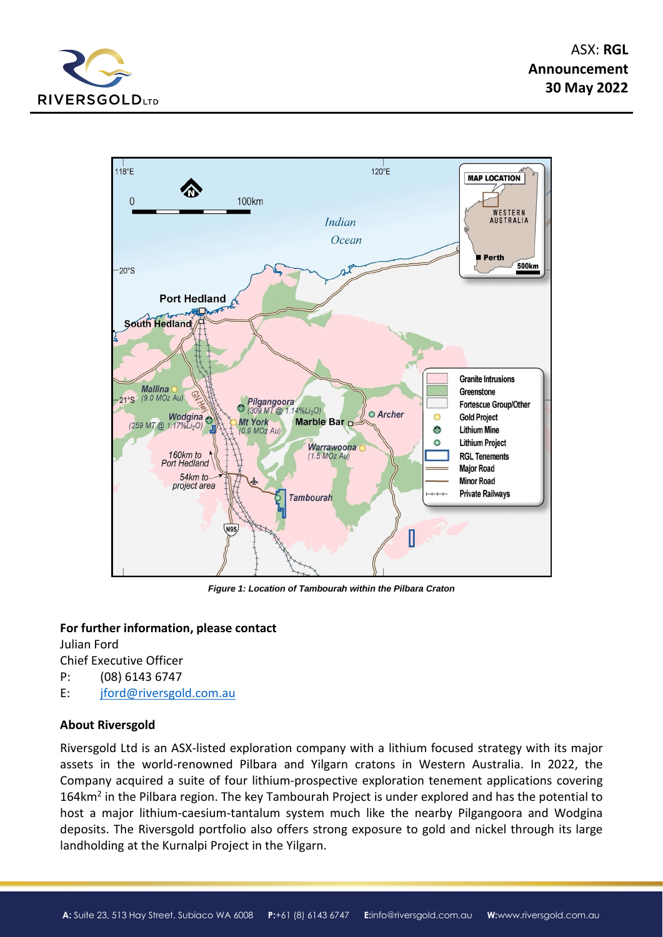



*Figure 1: Location of Tambourah within the Pilbara Craton*

#### **For further information, please contact**

Julian Ford Chief Executive Officer P: (08) 6143 6747

E: [jford@riversgold.com.au](mailto:jford@riversgold.com.au)

### **About Riversgold**

Riversgold Ltd is an ASX-listed exploration company with a lithium focused strategy with its major assets in the world-renowned Pilbara and Yilgarn cratons in Western Australia. In 2022, the Company acquired a suite of four lithium-prospective exploration tenement applications covering 164km<sup>2</sup> in the Pilbara region. The key Tambourah Project is under explored and has the potential to host a major lithium-caesium-tantalum system much like the nearby Pilgangoora and Wodgina deposits. The Riversgold portfolio also offers strong exposure to gold and nickel through its large landholding at the Kurnalpi Project in the Yilgarn.